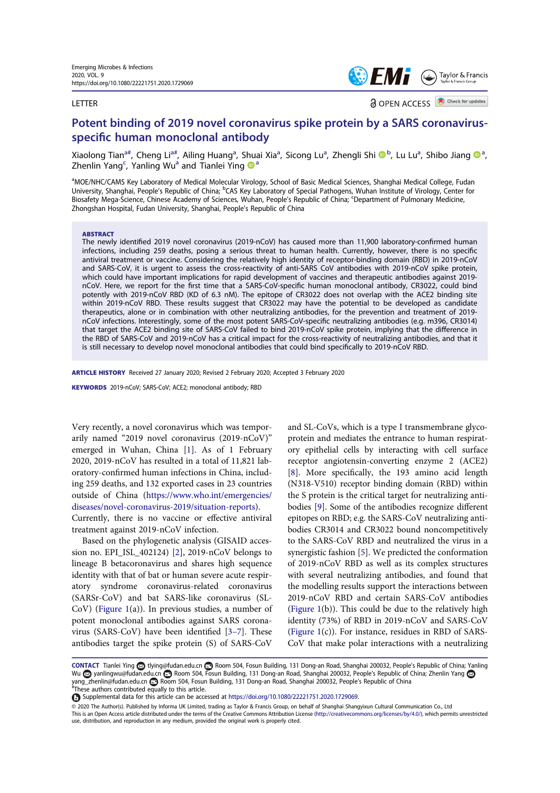#### LETTER



**a** OPEN ACCESS **D** Check for updates

# Potent binding of 2019 novel coronavirus spike protein by a SARS coronavirusspecific human monoclonal antibody

Xiaolong Tian<sup>a#</sup>, Cheng Li<sup>a#</sup>, Ailing Huang<sup>a</sup>, Shuai Xia<sup>a</sup>, Sicong Lu<sup>a</sup>, Zhengli Shi ®<sup>b</sup>, Lu Lu<sup>a</sup>, Shibo Jiang ®<sup>a</sup> , Zhenlin Yang<sup>c</sup>, Yanling Wu<sup>a</sup> and Tianlei Ying  $\bullet$ <sup>a</sup>

a<br>MOE/NHC/CAMS Key Laboratory of Medical Molecular Virology, School of Basic Medical Sciences, Shanghai Medical College, Fudan University, Shanghai, People's Republic of China; <sup>b</sup>CAS Key Laboratory of Special Pathogens, Wuhan Institute of Virology, Center for Biosafety Mega-Science, Chinese Academy of Sciences, Wuhan, People's Republic of China; <sup>c</sup>Department of Pulmonary Medicine, Zhongshan Hospital, Fudan University, Shanghai, People's Republic of China

#### ABSTRACT

The newly identified 2019 novel coronavirus (2019-nCoV) has caused more than 11,900 laboratory-confirmed human infections, including 259 deaths, posing a serious threat to human health. Currently, however, there is no specific antiviral treatment or vaccine. Considering the relatively high identity of receptor-binding domain (RBD) in 2019-nCoV and SARS-CoV, it is urgent to assess the cross-reactivity of anti-SARS CoV antibodies with 2019-nCoV spike protein, which could have important implications for rapid development of vaccines and therapeutic antibodies against 2019 nCoV. Here, we report for the first time that a SARS-CoV-specific human monoclonal antibody, CR3022, could bind potently with 2019-nCoV RBD (KD of 6.3 nM). The epitope of CR3022 does not overlap with the ACE2 binding site within 2019-nCoV RBD. These results suggest that CR3022 may have the potential to be developed as candidate therapeutics, alone or in combination with other neutralizing antibodies, for the prevention and treatment of 2019 nCoV infections. Interestingly, some of the most potent SARS-CoV-specific neutralizing antibodies (e.g. m396, CR3014) that target the ACE2 binding site of SARS-CoV failed to bind 2019-nCoV spike protein, implying that the difference in the RBD of SARS-CoV and 2019-nCoV has a critical impact for the cross-reactivity of neutralizing antibodies, and that it is still necessary to develop novel monoclonal antibodies that could bind specifically to 2019-nCoV RBD.

ARTICLE HISTORY Received 27 January 2020; Revised 2 February 2020; Accepted 3 February 2020

KEYWORDS 2019-nCoV; SARS-CoV; ACE2; monoclonal antibody; RBD

Very recently, a novel coronavirus which was temporarily named "2019 novel coronavirus (2019-nCoV)" emerged in Wuhan, China [1]. As of 1 February 2020, 2019-nCoV has resulted in a total of 11,821 laboratory-confirmed human infections in China, including 259 deaths, and 132 exported cases in 23 countries outside of China (https://www.who.int/emergencies/ diseases/novel-coronavirus-2019/situation-reports).

Currently, there is no vaccine or effective antiviral treatment against 2019-nCoV infection.

Based on the phylogenetic analysis (GISAID accession no. EPI\_ISL\_402124) [2], 2019-nCoV belongs to lineage B betacoronavirus and shares high sequence identity with that of bat or human severe acute respiratory syndrome coronavirus-related coronavirus (SARSr-CoV) and bat SARS-like coronavirus (SL-CoV) (Figure  $1(a)$ ). In previous studies, a number of potent monoclonal antibodies against SARS coronavirus (SARS-CoV) have been identified [3–7]. These antibodies target the spike protein (S) of SARS-CoV

and SL-CoVs, which is a type I transmembrane glycoprotein and mediates the entrance to human respiratory epithelial cells by interacting with cell surface receptor angiotensin-converting enzyme 2 (ACE2) [8]. More specifically, the 193 amino acid length (N318-V510) receptor binding domain (RBD) within the S protein is the critical target for neutralizing antibodies [9]. Some of the antibodies recognize different epitopes on RBD; e.g. the SARS-CoV neutralizing antibodies CR3014 and CR3022 bound noncompetitively to the SARS-CoV RBD and neutralized the virus in a synergistic fashion [5]. We predicted the conformation of 2019-nCoV RBD as well as its complex structures with several neutralizing antibodies, and found that the modelling results support the interactions between 2019-nCoV RBD and certain SARS-CoV antibodies (Figure 1(b)). This could be due to the relatively high identity (73%) of RBD in 2019-nCoV and SARS-CoV (Figure 1(c)). For instance, residues in RBD of SARS-CoV that make polar interactions with a neutralizing

CONTACT Tianlei Ying <a>
GONTACT Tianlei Ying <a>
GONTACT Tianlei Ying <a>
G</a>
CONTACT Tianlei Ying <a>
G</a>
CONTACT Tianlei Ying <a>
G</a>
CONTACT Tianlei Ying <a>
G</a>
CONTACT Tianlei Ying <a>
G</a>
CONTACT Tianlei Y Wu anlingwu@fudan.edu.cn **Room 504, Fosun Building, 131 Dong-an Road, Shanghai 200032, People's Republic of China; Zhenlin Yang** yang\_zhenlin@fudan.edu.cn Room 504, Fosun Building, 131 Dong-an Road, Shanghai 200032, People's Republic of China # These authors contributed equally to this article.

© 2020 The Author(s). Published by Informa UK Limited, trading as Taylor & Francis Group, on behalf of Shanghai Shangyixun Cultural Communication Co., Ltd This is an Open Access article distributed under the terms of the Creative Commons Attribution License (http://creativecommons.org/licenses/by/4.0/), which permits unrestricted use, distribution, and reproduction in any medium, provided the original work is properly cited.

Supplemental data for this article can be accessed at https://doi.org/10.1080/22221751.2020.1729069.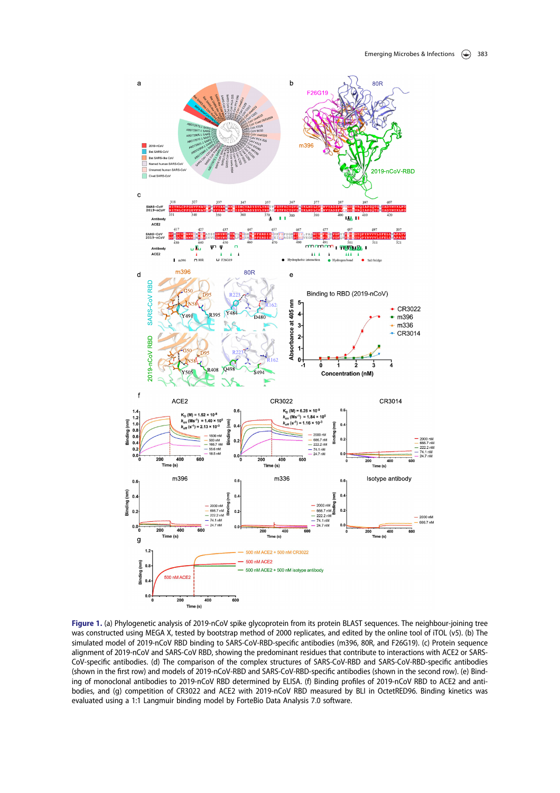

Figure 1. (a) Phylogenetic analysis of 2019-nCoV spike glycoprotein from its protein BLAST sequences. The neighbour-joining tree was constructed using MEGA X, tested by bootstrap method of 2000 replicates, and edited by the online tool of iTOL (v5). (b) The simulated model of 2019-nCoV RBD binding to SARS-CoV-RBD-specific antibodies (m396, 80R, and F26G19). (c) Protein sequence alignment of 2019-nCoV and SARS-CoV RBD, showing the predominant residues that contribute to interactions with ACE2 or SARS-CoV-specific antibodies. (d) The comparison of the complex structures of SARS-CoV-RBD and SARS-CoV-RBD-specific antibodies (shown in the first row) and models of 2019-nCoV-RBD and SARS-CoV-RBD-specific antibodies (shown in the second row). (e) Binding of monoclonal antibodies to 2019-nCoV RBD determined by ELISA. (f) Binding profiles of 2019-nCoV RBD to ACE2 and antibodies, and (g) competition of CR3022 and ACE2 with 2019-nCoV RBD measured by BLI in OctetRED96. Binding kinetics was evaluated using a 1:1 Langmuir binding model by ForteBio Data Analysis 7.0 software.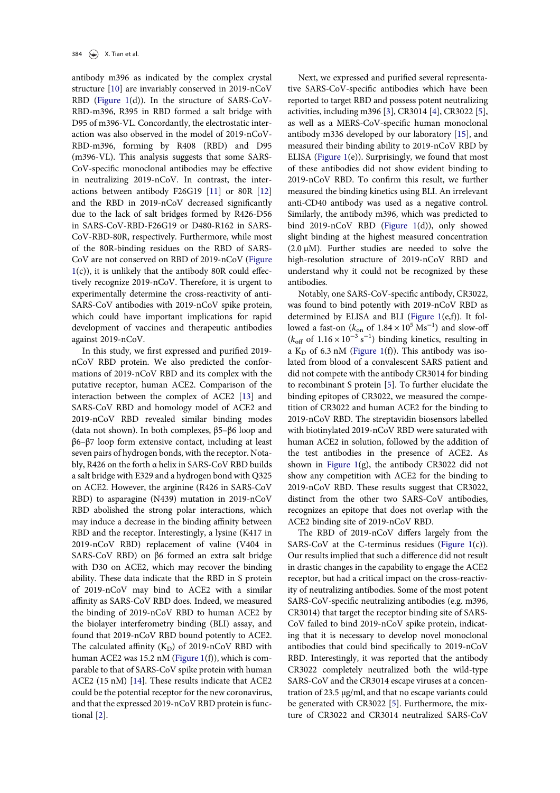antibody m396 as indicated by the complex crystal structure [10] are invariably conserved in 2019-nCoV RBD (Figure 1(d)). In the structure of SARS-CoV-RBD-m396, R395 in RBD formed a salt bridge with D95 of m396-VL. Concordantly, the electrostatic interaction was also observed in the model of 2019-nCoV-RBD-m396, forming by R408 (RBD) and D95 (m396-VL). This analysis suggests that some SARS-CoV-specific monoclonal antibodies may be effective in neutralizing 2019-nCoV. In contrast, the interactions between antibody F26G19 [11] or 80R [12] and the RBD in 2019-nCoV decreased significantly due to the lack of salt bridges formed by R426-D56 in SARS-CoV-RBD-F26G19 or D480-R162 in SARS-CoV-RBD-80R, respectively. Furthermore, while most of the 80R-binding residues on the RBD of SARS-CoV are not conserved on RBD of 2019-nCoV (Figure  $1(c)$ ), it is unlikely that the antibody 80R could effectively recognize 2019-nCoV. Therefore, it is urgent to experimentally determine the cross-reactivity of anti-SARS-CoV antibodies with 2019-nCoV spike protein, which could have important implications for rapid development of vaccines and therapeutic antibodies against 2019-nCoV.

In this study, we first expressed and purified 2019 nCoV RBD protein. We also predicted the conformations of 2019-nCoV RBD and its complex with the putative receptor, human ACE2. Comparison of the interaction between the complex of ACE2 [13] and SARS-CoV RBD and homology model of ACE2 and 2019-nCoV RBD revealed similar binding modes (data not shown). In both complexes, β5–β6 loop and β6–β7 loop form extensive contact, including at least seven pairs of hydrogen bonds, with the receptor. Notably, R426 on the forth α helix in SARS-CoV RBD builds a salt bridge with E329 and a hydrogen bond with Q325 on ACE2. However, the arginine (R426 in SARS-CoV RBD) to asparagine (N439) mutation in 2019-nCoV RBD abolished the strong polar interactions, which may induce a decrease in the binding affinity between RBD and the receptor. Interestingly, a lysine (K417 in 2019-nCoV RBD) replacement of valine (V404 in SARS-CoV RBD) on β6 formed an extra salt bridge with D30 on ACE2, which may recover the binding ability. These data indicate that the RBD in S protein of 2019-nCoV may bind to ACE2 with a similar affinity as SARS-CoV RBD does. Indeed, we measured the binding of 2019-nCoV RBD to human ACE2 by the biolayer interferometry binding (BLI) assay, and found that 2019-nCoV RBD bound potently to ACE2. The calculated affinity  $(K_D)$  of 2019-nCoV RBD with human ACE2 was 15.2 nM (Figure 1(f)), which is comparable to that of SARS-CoV spike protein with human ACE2 (15 nM) [14]. These results indicate that ACE2 could be the potential receptor for the new coronavirus, and that the expressed 2019-nCoV RBD protein is functional [2].

Next, we expressed and purified several representative SARS-CoV-specific antibodies which have been reported to target RBD and possess potent neutralizing activities, including m396 [3], CR3014 [4], CR3022 [5], as well as a MERS-CoV-specific human monoclonal antibody m336 developed by our laboratory [15], and measured their binding ability to 2019-nCoV RBD by ELISA (Figure 1(e)). Surprisingly, we found that most of these antibodies did not show evident binding to 2019-nCoV RBD. To confirm this result, we further measured the binding kinetics using BLI. An irrelevant anti-CD40 antibody was used as a negative control. Similarly, the antibody m396, which was predicted to bind 2019-nCoV RBD (Figure 1(d)), only showed slight binding at the highest measured concentration  $(2.0 \mu M)$ . Further studies are needed to solve the high-resolution structure of 2019-nCoV RBD and understand why it could not be recognized by these antibodies.

Notably, one SARS-CoV-specific antibody, CR3022, was found to bind potently with 2019-nCoV RBD as determined by ELISA and BLI (Figure 1(e,f)). It followed a fast-on ( $k_{on}$  of  $1.84 \times 10^5$  Ms<sup>-1</sup>) and slow-off  $(k<sub>off</sub> of 1.16 \times 10<sup>-3</sup> s<sup>-1</sup>)$  binding kinetics, resulting in a  $K_D$  of 6.3 nM (Figure 1(f)). This antibody was isolated from blood of a convalescent SARS patient and did not compete with the antibody CR3014 for binding to recombinant S protein [5]. To further elucidate the binding epitopes of CR3022, we measured the competition of CR3022 and human ACE2 for the binding to 2019-nCoV RBD. The streptavidin biosensors labelled with biotinylated 2019-nCoV RBD were saturated with human ACE2 in solution, followed by the addition of the test antibodies in the presence of ACE2. As shown in Figure 1(g), the antibody CR3022 did not show any competition with ACE2 for the binding to 2019-nCoV RBD. These results suggest that CR3022, distinct from the other two SARS-CoV antibodies, recognizes an epitope that does not overlap with the ACE2 binding site of 2019-nCoV RBD.

The RBD of 2019-nCoV differs largely from the SARS-CoV at the C-terminus residues (Figure  $1(c)$ ). Our results implied that such a difference did not result in drastic changes in the capability to engage the ACE2 receptor, but had a critical impact on the cross-reactivity of neutralizing antibodies. Some of the most potent SARS-CoV-specific neutralizing antibodies (e.g. m396, CR3014) that target the receptor binding site of SARS-CoV failed to bind 2019-nCoV spike protein, indicating that it is necessary to develop novel monoclonal antibodies that could bind specifically to 2019-nCoV RBD. Interestingly, it was reported that the antibody CR3022 completely neutralized both the wild-type SARS-CoV and the CR3014 escape viruses at a concentration of 23.5 μg/ml, and that no escape variants could be generated with CR3022 [5]. Furthermore, the mixture of CR3022 and CR3014 neutralized SARS-CoV